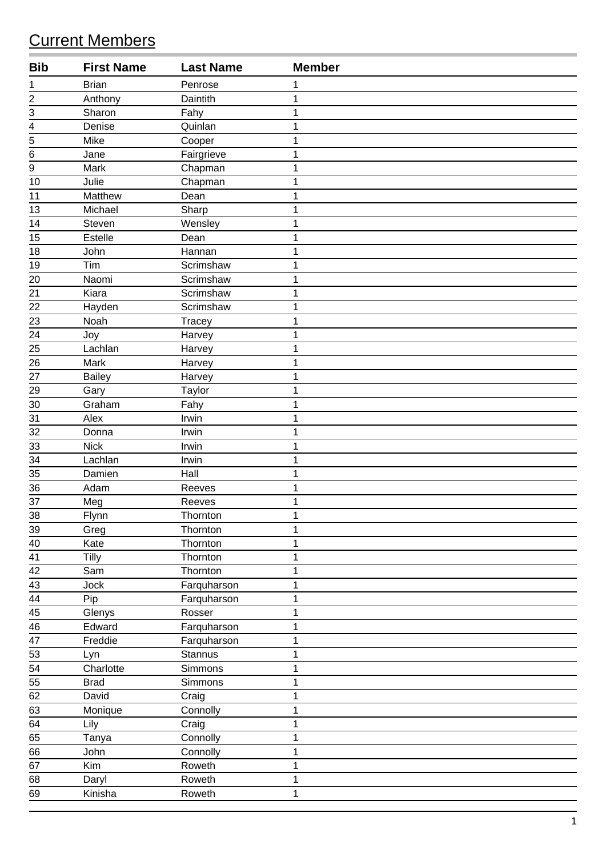## Current Members

| <b>Bib</b>              | <b>First Name</b> | <b>Last Name</b> | <b>Member</b> |
|-------------------------|-------------------|------------------|---------------|
| 1                       | <b>Brian</b>      | Penrose          | 1             |
| $\overline{\mathbf{c}}$ | Anthony           | Daintith         | 1             |
| 3                       | Sharon            | Fahy             | 1             |
| 4                       | Denise            | Quinlan          | 1             |
| 5                       | Mike              | Cooper           | 1             |
| 6                       | Jane              | Fairgrieve       | 1             |
| 9                       | Mark              | Chapman          | 1             |
| 10                      | Julie             | Chapman          | 1             |
| 11                      | Matthew           | Dean             | 1             |
| 13                      | Michael           | Sharp            | 1             |
| 14                      | Steven            | Wensley          | 1             |
| 15                      | <b>Estelle</b>    | Dean             | 1             |
| 18                      | John              | Hannan           | 1             |
| 19                      | Tim               | Scrimshaw        | 1             |
| 20                      | Naomi             | Scrimshaw        | 1             |
| $\overline{21}$         | Kiara             | Scrimshaw        | 1             |
| 22                      | Hayden            | Scrimshaw        | 1             |
| 23                      | Noah              | <b>Tracey</b>    | 1             |
| $\overline{24}$         | Joy               | Harvey           | 1             |
| 25                      | Lachlan           | Harvey           | 1             |
| 26                      | Mark              | Harvey           | 1             |
| 27                      | <b>Bailey</b>     | Harvey           | 1             |
| 29                      | Gary              | Taylor           | 1             |
| 30                      | Graham            | Fahy             | 1             |
| 31                      | Alex              | Irwin            | 1             |
| 32                      | Donna             | Irwin            | 1             |
| 33                      | <b>Nick</b>       | Irwin            | 1             |
| $\overline{34}$         | Lachlan           | Irwin            | 1             |
| 35                      | Damien            | Hall             | 1             |
| 36                      | Adam              | Reeves           | 1             |
| 37                      | Meg               | Reeves           | 1             |
| 38                      | Flynn             | Thornton         | $\mathbf{1}$  |
| 39                      | Greg              | Thornton         | 1             |
| 40                      | Kate              | Thornton         | 1             |
| 41                      | Tilly             | Thornton         | 1             |
| 42                      | Sam               | Thornton         | 1             |
| 43                      | Jock              | Farquharson      | 1             |
| $\frac{44}{1}$          | Pip               | Farquharson      | 1             |
| 45                      | Glenys            | Rosser           | 1             |
| 46                      | Edward            | Farquharson      | 1             |
| $\overline{47}$         | Freddie           | Farquharson      | 1             |
| 53                      | Lyn               | <b>Stannus</b>   | 1             |
| 54                      | Charlotte         | Simmons          | 1             |
| 55                      | <b>Brad</b>       | Simmons          | 1             |
| 62                      | David             | Craig            | 1             |
| 63                      | Monique           | Connolly         | 1             |
| 64                      | Lily              | Craig            | 1             |
| $\overline{65}$         | Tanya             | Connolly         | 1             |
| 66                      | John              | Connolly         | 1             |
| 67                      | Kim               | Roweth           | 1             |
| 68                      | Daryl             | Roweth           | 1             |
| 69                      | Kinisha           | Roweth           | 1             |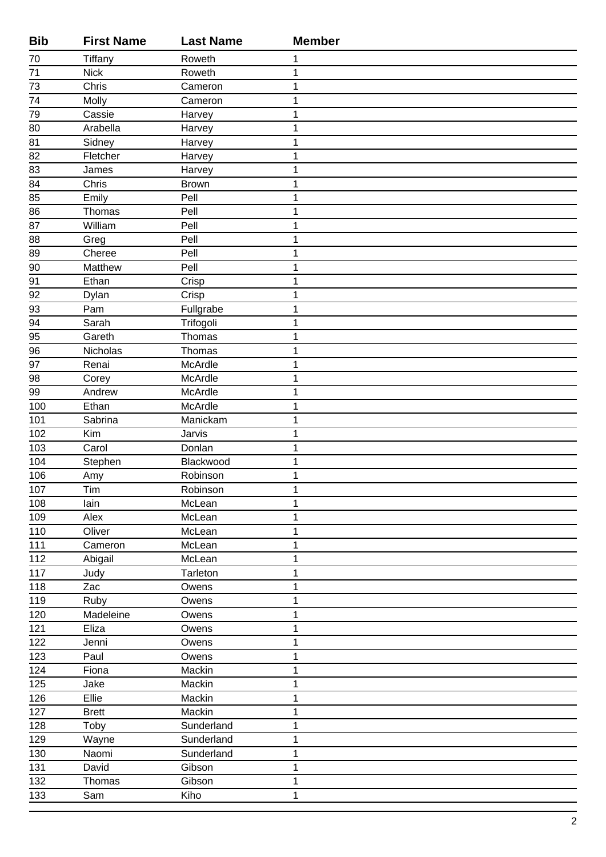| <b>Bib</b>      | <b>First Name</b> | <b>Last Name</b>         | <b>Member</b>    |
|-----------------|-------------------|--------------------------|------------------|
| 70              | Tiffany           | Roweth                   | 1                |
| 71              | <b>Nick</b>       | Roweth                   | 1                |
| 73              | Chris             | Cameron                  | 1                |
| $\overline{74}$ | Molly             | Cameron                  | 1                |
| 79              | Cassie            | Harvey                   | 1                |
| 80              | Arabella          | Harvey                   | 1                |
| 81              | Sidney            | Harvey                   | 1                |
| 82              | Fletcher          | Harvey                   | $\mathbf 1$      |
| 83              | James             | Harvey                   | 1                |
| 84              | Chris             | <b>Brown</b>             | 1                |
| 85              | Emily             | Pell                     | 1                |
| 86              | Thomas            | Pell                     | 1                |
| 87              | William           | Pell                     | 1                |
| 88              | Greg              | Pell                     | 1                |
| $\overline{89}$ | Cheree            | Pell                     | $\mathbf 1$      |
| 90              | Matthew           | Pell                     | 1                |
| 91              | Ethan             | Crisp                    | 1                |
| 92              | Dylan             | Crisp                    | 1                |
| 93              | Pam               | Fullgrabe                | 1                |
| 94              | Sarah             | Trifogoli                | 1                |
| 95              | Gareth            | Thomas                   | 1                |
| 96              | Nicholas          | Thomas                   | 1                |
| 97              | Renai             | McArdle                  | 1                |
| 98              | Corey             | McArdle                  | 1                |
| $\overline{99}$ | Andrew            | McArdle                  | 1                |
| 100             | Ethan             | McArdle                  | 1                |
| 101             | Sabrina           | Manickam                 | 1                |
| 102             | Kim               | Jarvis                   | 1                |
| 103             | Carol             | Donlan                   | 1                |
| 104             | Stephen           | Blackwood                | 1                |
| 106             | Amy               | Robinson                 | 1                |
| $107$           | Tim               | Robinson                 | $\mathbf 1$      |
| 108             | lain              | McLean                   | $\mathbf 1$      |
| 109             | Alex              | McLean                   | 1                |
| 110             | Oliver            | McLean                   | 1                |
| 111             | Cameron           | McLean                   | 1                |
| 112             | Abigail           | McLean                   | 1                |
| 117             | Judy              | Tarleton                 | 1                |
| 118             | Zac               | Owens                    | 1                |
| 119             | Ruby              | Owens                    | 1                |
| 120             | Madeleine         | Owens                    | 1                |
| 121             | Eliza             | Owens                    | 1                |
| 122             | Jenni             | Owens                    | 1                |
| 123             | Paul              | Owens                    | $\mathbf 1$      |
| 124             | Fiona             | Mackin                   | 1                |
| 125             | Jake              | Mackin                   | 1                |
| 126             | Ellie             | Mackin                   | 1                |
| 127             | <b>Brett</b>      | Mackin                   | 1                |
| 128             | Toby              | Sunderland               | 1                |
| 129<br>130      | Wayne<br>Naomi    | Sunderland<br>Sunderland | 1<br>$\mathbf 1$ |
| 131             |                   |                          |                  |
| 132             | David<br>Thomas   | Gibson<br>Gibson         | 1<br>1           |
| 133             | Sam               | Kiho                     | 1                |
|                 |                   |                          |                  |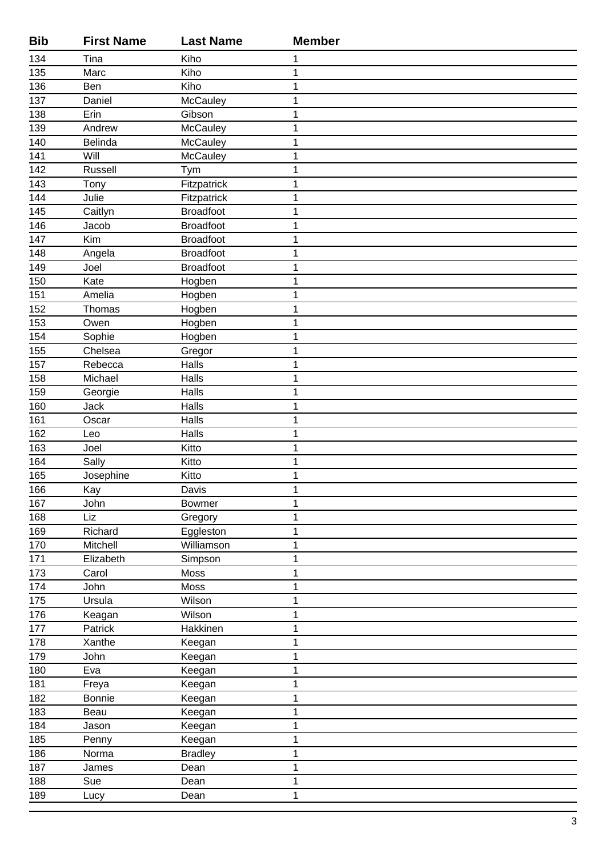| <b>Bib</b> | <b>First Name</b> | <b>Last Name</b> | <b>Member</b> |
|------------|-------------------|------------------|---------------|
| 134        | Tina              | Kiho             | 1             |
| 135        | Marc              | Kiho             | 1             |
| 136        | Ben               | Kiho             | 1             |
| 137        | Daniel            | McCauley         | 1             |
| 138        | Erin              | Gibson           | 1             |
| 139        | Andrew            | McCauley         | 1             |
| 140        | Belinda           | <b>McCauley</b>  | 1             |
| 141        | Will              | <b>McCauley</b>  | $\mathbf 1$   |
| 142        | Russell           | Tym              | 1             |
| 143        | Tony              | Fitzpatrick      | 1             |
| 144        | Julie             | Fitzpatrick      | 1             |
| 145        | Caitlyn           | Broadfoot        | 1             |
| 146        | Jacob             | <b>Broadfoot</b> | 1             |
| 147        | Kim               | <b>Broadfoot</b> | 1             |
| 148        | Angela            | <b>Broadfoot</b> | $\mathbf 1$   |
| 149        | Joel              | <b>Broadfoot</b> | 1             |
| 150        | Kate              | Hogben           | 1             |
| 151        | Amelia            | Hogben           | 1             |
| 152        | Thomas            | Hogben           | 1             |
| 153        | Owen              | Hogben           | 1             |
| 154        | Sophie            | Hogben           | 1             |
| 155        | Chelsea           | Gregor           | 1             |
| 157        | Rebecca           | Halls            | 1             |
| 158        | Michael           | Halls            | 1             |
| 159        | Georgie           | Halls            | 1             |
| 160        | <b>Jack</b>       | Halls            | 1             |
| 161        | Oscar             | Halls            | 1             |
| 162        | Leo               | Halls            | 1             |
| 163        | Joel              | Kitto            | 1             |
| 164        | Sally             | Kitto            | 1             |
| 165        | Josephine         | Kitto            | 1             |
| 166        | Kay               | Davis            | 1             |
| 167        | John              | <b>Bowmer</b>    | 1             |
| 168        | Liz               | Gregory          | 1             |
| 169        | Richard           | Eggleston        | 1             |
| 170        | Mitchell          | Williamson       | 1             |
| 171        | Elizabeth         | Simpson          | 1             |
| 173        | Carol             | Moss             | 1             |
| 174        | John              | Moss             | 1             |
| 175        | Ursula            | Wilson           | $\mathbf{1}$  |
| 176        | Keagan            | Wilson           | 1             |
| 177        | Patrick           | Hakkinen         | 1             |
| 178        | Xanthe            | Keegan           | 1             |
| 179        | John              | Keegan           | 1             |
| 180        | Eva               | Keegan           | 1             |
| 181        | Freya             | Keegan           | 1             |
| 182        | Bonnie            | Keegan           | 1             |
| 183        | Beau              | Keegan           | 1             |
| 184        | Jason             | Keegan           | 1             |
| 185        | Penny             | Keegan           | 1             |
| 186        | Norma             | <b>Bradley</b>   | 1             |
| 187        | James             | Dean             | 1             |
| 188        | Sue               | Dean             | 1             |
| 189        | Lucy              | Dean             | 1             |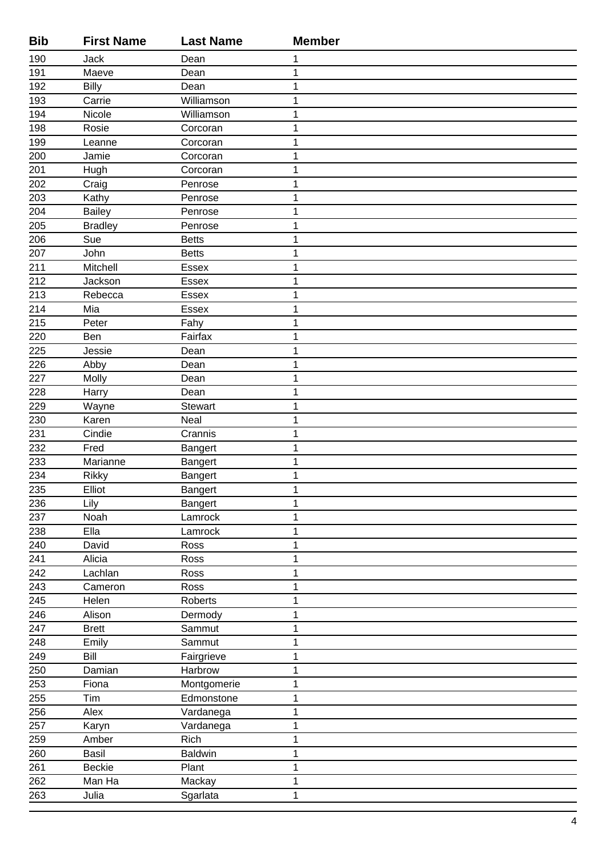| <b>Bib</b> | <b>First Name</b> | <b>Last Name</b> | <b>Member</b> |
|------------|-------------------|------------------|---------------|
| 190        | Jack              | Dean             | 1             |
| 191        | Maeve             | Dean             | 1             |
| 192        | <b>Billy</b>      | Dean             | 1             |
| 193        | Carrie            | Williamson       | 1             |
| 194        | Nicole            | Williamson       | 1             |
| 198        | Rosie             | Corcoran         | 1             |
| 199        | Leanne            | Corcoran         | 1             |
| 200        | Jamie             | Corcoran         | 1             |
| 201        | Hugh              | Corcoran         | 1             |
| 202        | Craig             | Penrose          | 1             |
| 203        | Kathy             | Penrose          | 1             |
| 204        | <b>Bailey</b>     | Penrose          | 1             |
| 205        | <b>Bradley</b>    | Penrose          | 1             |
| 206        | Sue               | <b>Betts</b>     | 1             |
| 207        | John              | <b>Betts</b>     | 1             |
| 211        | Mitchell          | Essex            | 1             |
| 212        | Jackson           | Essex            | 1             |
| 213        | Rebecca           | <b>Essex</b>     | 1             |
| 214        | Mia               | Essex            | 1             |
| 215        | Peter             | Fahy             | 1             |
| 220        | Ben               | Fairfax          | 1             |
| 225        | Jessie            | Dean             | 1             |
| 226        | Abby              | Dean             | 1             |
| 227        | Molly             | Dean             | 1             |
| 228        | Harry             | Dean             | 1             |
| 229        | Wayne             | Stewart          | 1             |
| 230        | Karen             | Neal             | 1             |
| 231        | Cindie            | Crannis          | 1             |
| 232        | Fred              | Bangert          | 1             |
| 233        | Marianne          | Bangert          | 1             |
| 234        | <b>Rikky</b>      | Bangert          | 1             |
| 235        | Elliot            | Bangert          | 1             |
| 236        | Lily              | Bangert          | 1             |
| 237        | Noah              | Lamrock          | 1             |
| 238        | Ella              | Lamrock          | 1             |
| 240        | David             | Ross             | 1             |
| 241        | Alicia            | Ross             | 1             |
| 242        | Lachlan           | Ross             | 1             |
| 243        | Cameron           | Ross             | 1             |
| 245        | Helen             | <b>Roberts</b>   | $\mathbf{1}$  |
| 246        | Alison            | Dermody          | $\mathbf 1$   |
| 247        | <b>Brett</b>      | Sammut           | 1             |
| 248        | Emily             | Sammut           | 1             |
| 249        | Bill              | Fairgrieve       | 1             |
| 250        | Damian            | Harbrow          | 1             |
| 253        | Fiona             | Montgomerie      | 1             |
| 255        | Tim               | Edmonstone       | 1             |
| 256        | Alex              | Vardanega        | $\mathbf 1$   |
| 257        | Karyn             | Vardanega        | 1             |
| 259        | Amber             | Rich             | 1             |
| 260        | Basil             | <b>Baldwin</b>   | 1             |
| 261        | <b>Beckie</b>     | Plant            | 1             |
| 262        | Man Ha            | Mackay           | 1             |
| 263        | Julia             | Sgarlata         | 1             |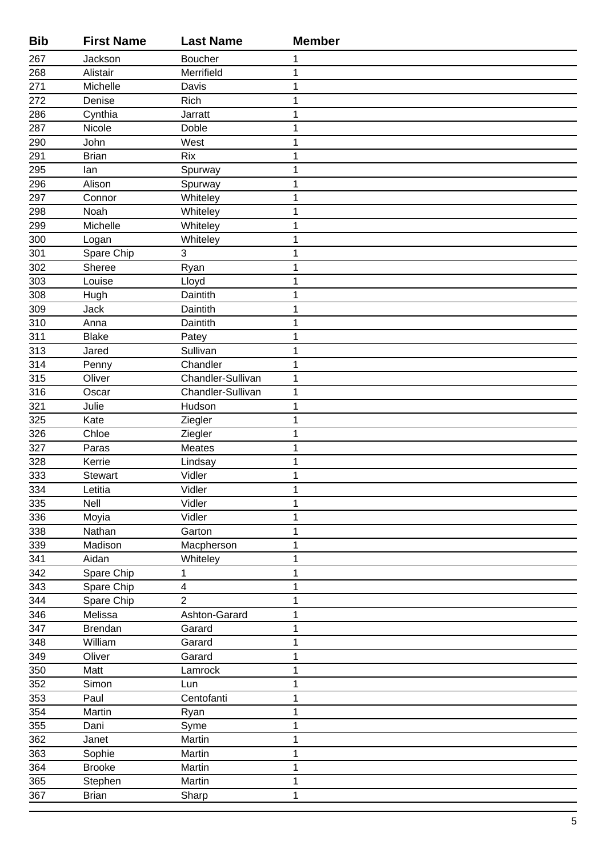| <b>Bib</b> | <b>First Name</b> | <b>Last Name</b>  | <b>Member</b> |
|------------|-------------------|-------------------|---------------|
| 267        | Jackson           | <b>Boucher</b>    | 1             |
| 268        | Alistair          | Merrifield        | 1             |
| 271        | Michelle          | Davis             | 1             |
| 272        | Denise            | Rich              | 1             |
| 286        | Cynthia           | Jarratt           | 1             |
| 287        | Nicole            | Doble             | 1             |
| 290        | John              | West              | 1             |
| 291        | <b>Brian</b>      | <b>Rix</b>        | $\mathbf 1$   |
| 295        | lan               | Spurway           | 1             |
| 296        | Alison            | Spurway           | 1             |
| 297        | Connor            | Whiteley          | 1             |
| 298        | Noah              | Whiteley          | 1             |
| 299        | Michelle          | Whiteley          | 1             |
| 300        | Logan             | Whiteley          | 1             |
| 301        | Spare Chip        | 3                 | 1             |
| 302        | Sheree            | Ryan              | 1             |
| 303        | Louise            | Lloyd             | 1             |
| 308        | Hugh              | Daintith          | 1             |
| 309        | Jack              | Daintith          | 1             |
| 310        | Anna              | Daintith          | 1             |
| 311        | <b>Blake</b>      | Patey             | 1             |
| 313        | Jared             | Sullivan          | 1             |
| 314        | Penny             | Chandler          | 1             |
| 315        | Oliver            | Chandler-Sullivan | 1             |
| 316        | Oscar             | Chandler-Sullivan | 1             |
| 321        | Julie             | Hudson            | $\mathbf 1$   |
| 325        | Kate              | Ziegler           | 1             |
| 326        | Chloe             | Ziegler           | 1             |
| 327        | Paras             | Meates            | 1             |
| 328        | Kerrie            | Lindsay           | $\mathbf 1$   |
| 333        | <b>Stewart</b>    | Vidler            | 1             |
| 334        | Letitia           | Vidler            | 1             |
| 335        | Nell              | Vidler<br>Vidler  | 1<br>1        |
| 336<br>338 | Moyia<br>Nathan   | Garton            | 1             |
| 339        | Madison           | Macpherson        | 1             |
| 341        | Aidan             | Whiteley          | 1             |
| 342        | Spare Chip        | 1                 | 1             |
| 343        | Spare Chip        | 4                 | 1             |
| 344        | Spare Chip        | $\overline{2}$    | 1             |
| 346        | Melissa           | Ashton-Garard     | 1             |
| 347        | <b>Brendan</b>    | Garard            | 1             |
| 348        | William           | Garard            | 1             |
| 349        | Oliver            | Garard            | 1             |
| 350        | Matt              | Lamrock           | 1             |
| 352        | Simon             | Lun               | 1             |
| 353        | Paul              | Centofanti        | 1             |
| 354        | Martin            | Ryan              | $\mathbf 1$   |
| 355        | Dani              | Syme              | 1             |
| 362        | Janet             | Martin            | 1             |
| 363        | Sophie            | Martin            | 1             |
| 364        | <b>Brooke</b>     | Martin            | 1             |
| 365        | Stephen           | Martin            | 1             |
| 367        | <b>Brian</b>      | Sharp             | 1             |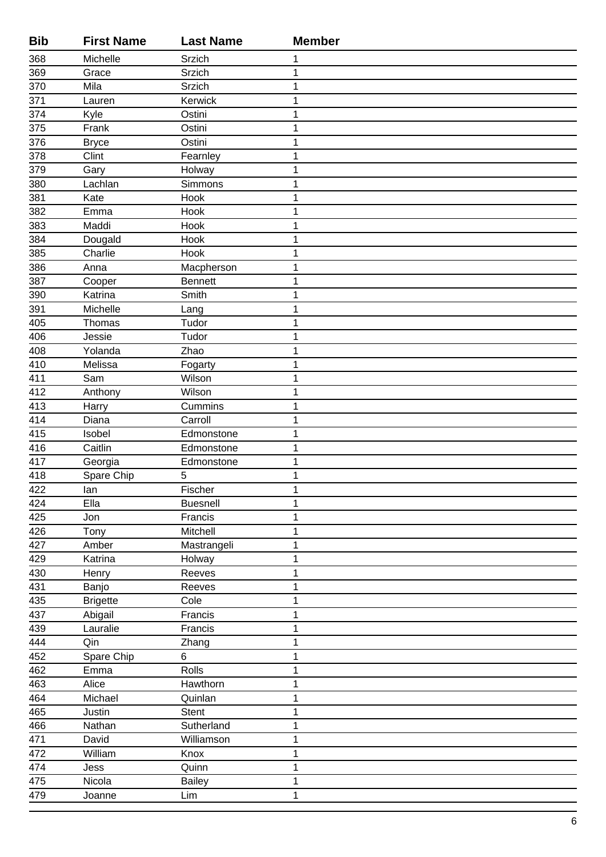| <b>Bib</b>       | <b>First Name</b> | <b>Last Name</b>         | <b>Member</b> |
|------------------|-------------------|--------------------------|---------------|
| 368              | Michelle          | Srzich                   | 1             |
| 369              | Grace             | Srzich                   | 1             |
| 370              | Mila              | Srzich                   | 1             |
| $\overline{371}$ | Lauren            | Kerwick                  | 1             |
| 374              | Kyle              | Ostini                   | 1             |
| 375              | Frank             | Ostini                   | 1             |
| 376              | <b>Bryce</b>      | Ostini                   | 1             |
| 378              | Clint             | Fearnley                 | 1             |
| 379              | Gary              | Holway                   | 1             |
| 380              | Lachlan           | Simmons                  | 1             |
| 381              | Kate              | Hook                     | 1             |
| 382              | Emma              | Hook                     | 1             |
| 383              | Maddi             | Hook                     | 1             |
| 384              | Dougald           | Hook                     | 1             |
| $\overline{385}$ | Charlie           | Hook                     | 1             |
| 386              | Anna              | Macpherson               | 1             |
| 387              | Cooper            | <b>Bennett</b>           | 1             |
| 390              | Katrina           | Smith                    | 1             |
| 391              | Michelle          | Lang                     | 1             |
| 405              | Thomas            | Tudor                    | 1             |
| 406              | Jessie            | Tudor                    | 1             |
| 408              | Yolanda           | Zhao                     | 1             |
| 410              | Melissa           | Fogarty                  | 1             |
| 411              | Sam               | Wilson                   | 1             |
| 412              | Anthony           | Wilson                   | 1             |
| 413              | Harry             | Cummins                  | 1             |
| 414              | Diana             | Carroll                  | 1             |
| 415              | Isobel            | Edmonstone               | 1             |
| 416              | Caitlin           | Edmonstone               | 1             |
| 417              | Georgia           | Edmonstone               | 1             |
| 418              | Spare Chip        | 5                        | 1             |
| 422              | lan               | Fischer                  | 1             |
| 424              | Ella              | <b>Buesnell</b>          | 1             |
| 425              | Jon               | Francis                  | 1             |
| 426              | Tony              | Mitchell                 | 1             |
| 427              | Amber             | Mastrangeli              | 1             |
| 429              | Katrina           | Holway                   | 1             |
| 430              | Henry             | Reeves                   | 1             |
| 431              | Banjo             | Reeves                   | 1             |
| 435              | <b>Brigette</b>   | Cole                     | 1             |
| 437              | Abigail           | Francis                  | 1             |
| 439              | Lauralie          | Francis                  | 1             |
| 444              | Qin               | Zhang                    | 1             |
| 452              | Spare Chip        | 6                        | 1             |
| 462              | Emma              | Rolls                    | 1             |
| 463              | Alice             | Hawthorn                 | 1             |
| 464              | Michael           | Quinlan                  | 1             |
| 465              | Justin            | <b>Stent</b>             | 1             |
| 466              | Nathan<br>David   | Sutherland<br>Williamson | 1<br>1        |
| 471<br>472       | William           | Knox                     | 1             |
|                  |                   | Quinn                    | 1             |
| 474<br>475       | Jess<br>Nicola    | <b>Bailey</b>            | 1             |
| 479              | Joanne            | Lim                      | 1             |
|                  |                   |                          |               |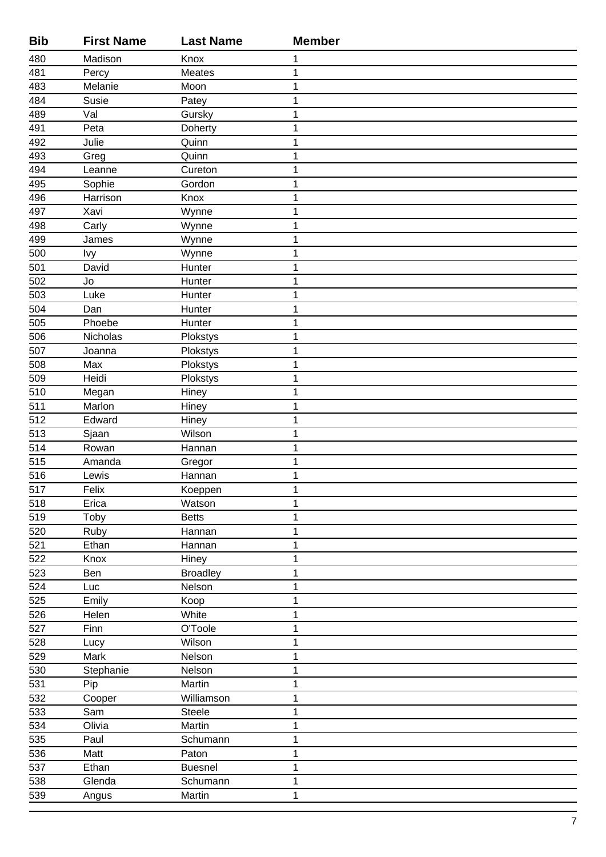| <b>Bib</b>       | <b>First Name</b> | <b>Last Name</b> | <b>Member</b> |
|------------------|-------------------|------------------|---------------|
| 480              | Madison           | Knox             | 1             |
| 481              | Percy             | Meates           | 1             |
| 483              | Melanie           | Moon             | 1             |
| 484              | Susie             | Patey            | $\mathbf 1$   |
| 489              | Val               | Gursky           | 1             |
| 491              | Peta              | Doherty          | 1             |
| 492              | Julie             | Quinn            | 1             |
| 493              | Greg              | Quinn            | $\mathbf 1$   |
| 494              | Leanne            | Cureton          | 1             |
| 495              | Sophie            | Gordon           | 1             |
| 496              | Harrison          | Knox             | 1             |
| 497              | Xavi              | Wynne            | 1             |
| 498              | Carly             | Wynne            | 1             |
| 499              | James             | Wynne            | 1             |
| $\overline{500}$ | <b>Ivy</b>        | Wynne            | $\mathbf 1$   |
| 501              | David             | Hunter           | 1             |
| 502              | Jo                | Hunter           | 1             |
| 503              | Luke              | Hunter           | 1             |
| 504              | Dan               | Hunter           | 1             |
| 505              | Phoebe            | Hunter           | 1             |
| 506              | Nicholas          | Plokstys         | 1             |
| $\overline{507}$ | Joanna            | Plokstys         | 1             |
| 508              | Max               | Plokstys         | 1             |
| 509              | Heidi             | Plokstys         | $\mathbf 1$   |
| 510              | Megan             | Hiney            | 1             |
| 511              | Marlon            | Hiney            | 1             |
| 512              | Edward            | Hiney            | 1             |
| 513              | Sjaan             | Wilson           | 1             |
| $\overline{514}$ | Rowan             | Hannan           | 1             |
| 515              | Amanda            | Gregor           | 1             |
| 516              | Lewis             | Hannan           | 1             |
| 517              | Felix             | Koeppen          | $\mathbf 1$   |
| 518              | Erica             | Watson           | $\mathbf 1$   |
| 519              | Toby              | <b>Betts</b>     | 1             |
| 520              | Ruby              | Hannan           | 1             |
| 521              | Ethan             | Hannan           | 1             |
| 522              | Knox              | Hiney            | 1             |
| 523              | Ben               | <b>Broadley</b>  | 1             |
| 524              | Luc               | Nelson           | 1             |
| $\overline{525}$ | Emily             | Koop             | 1             |
| 526              | Helen             | White            | 1             |
| 527              | Finn              | O'Toole          | $\mathbf 1$   |
| 528              | Lucy              | Wilson           | 1             |
| 529              | Mark              | Nelson           | $\mathbf 1$   |
| 530              | Stephanie         | Nelson           | 1             |
| 531              | Pip               | Martin           | 1             |
| 532              | Cooper            | Williamson       | 1             |
| 533              | Sam               | Steele           | 1             |
| 534              | Olivia            | Martin           | 1             |
| 535              | Paul              | Schumann         | 1             |
| $\overline{536}$ | Matt              | Paton            | $\mathbf 1$   |
| 537              | Ethan             | <b>Buesnel</b>   | 1             |
| 538              | Glenda            | Schumann         | 1             |
| 539              | Angus             | Martin           | $\mathbf 1$   |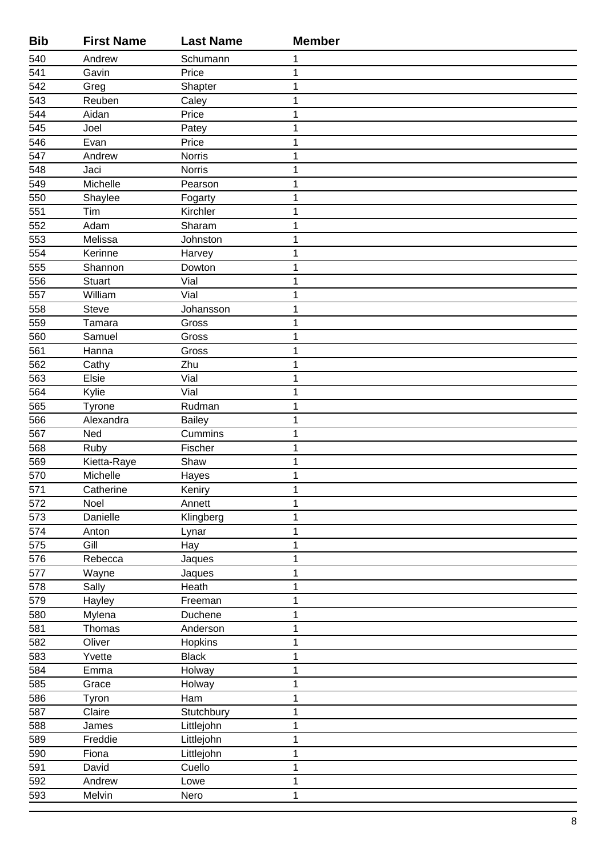| <b>Bib</b>       | <b>First Name</b> | <b>Last Name</b> | <b>Member</b> |
|------------------|-------------------|------------------|---------------|
| 540              | Andrew            | Schumann         | 1             |
| 541              | Gavin             | Price            | 1             |
| 542              | Greg              | Shapter          | 1             |
| 543              | Reuben            | Caley            | 1             |
| 544              | Aidan             | Price            | 1             |
| 545              | Joel              | Patey            | 1             |
| 546              | Evan              | Price            | 1             |
| 547              | Andrew            | <b>Norris</b>    | 1             |
| 548              | Jaci              | <b>Norris</b>    | 1             |
| 549              | Michelle          | Pearson          | 1             |
| 550              | Shaylee           | Fogarty          | 1             |
| 551              | Tim               | Kirchler         | 1             |
| 552              | Adam              | Sharam           | 1             |
| $\overline{553}$ | Melissa           | Johnston         | 1             |
| $\overline{554}$ | Kerinne           | Harvey           | 1             |
| 555              | Shannon           | Dowton           | 1             |
| 556              | <b>Stuart</b>     | Vial             | 1             |
| 557              | William           | Vial             | 1             |
| 558              | Steve             | Johansson        | 1             |
| 559              | Tamara            | Gross            | 1             |
| 560              | Samuel            | Gross            | 1             |
| 561              | Hanna             | Gross            | 1             |
| 562              | Cathy             | Zhu              | 1             |
| 563              | Elsie             | Vial             | 1             |
| 564              | Kylie             | Vial             | 1             |
| 565              | Tyrone            | Rudman           | 1             |
| 566              | Alexandra         | <b>Bailey</b>    | 1             |
| 567              | Ned               | Cummins          | 1             |
| 568              | Ruby              | Fischer          | 1             |
| 569              | Kietta-Raye       | Shaw             | 1             |
| 570              | Michelle          | Hayes            | 1             |
| 571              | Catherine         | Keniry           | 1             |
| $\overline{572}$ | Noel              | Annett           | 1             |
| 573              | Danielle          | Klingberg        | 1             |
| 574              | Anton             | Lynar            | 1             |
| 575              | Gill              | Hay              | 1             |
| 576              | Rebecca           | Jaques           | 1             |
| 577              | Wayne             | Jaques           | 1             |
| 578              | Sally             | Heath            | 1             |
| 579              | Hayley            | Freeman          | $\mathbf{1}$  |
| 580              | Mylena            | Duchene          | $\mathbf 1$   |
| 581              | Thomas            | Anderson         | 1             |
| $\overline{582}$ | Oliver            | Hopkins          | 1             |
| 583              | Yvette            | <b>Black</b>     | 1             |
| 584              | Emma              | Holway           | 1             |
| 585              | Grace             | Holway           | 1             |
| 586              | Tyron             | Ham              | 1             |
| 587              | Claire            | Stutchbury       | $\mathbf 1$   |
| 588              | James             | Littlejohn       | 1             |
| 589              | Freddie           | Littlejohn       | 1             |
| 590              | Fiona             | Littlejohn       | 1             |
| 591              | David             | Cuello           | 1             |
| 592              | Andrew            | Lowe             | 1             |
| 593              | Melvin            | Nero             | 1             |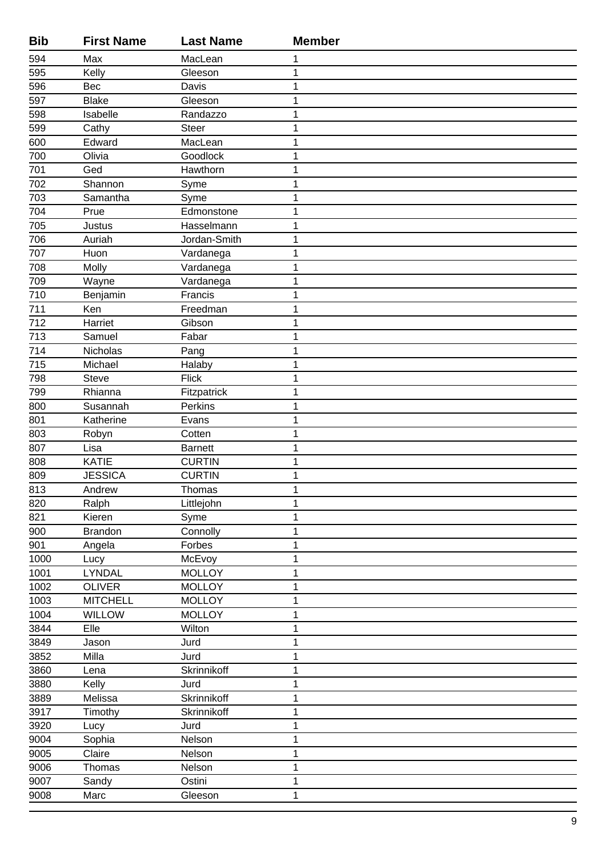| <b>Bib</b> | <b>First Name</b> | <b>Last Name</b> | <b>Member</b> |
|------------|-------------------|------------------|---------------|
| 594        | Max               | MacLean          | 1             |
| 595        | Kelly             | Gleeson          | 1             |
| 596        | Bec               | Davis            | 1             |
| 597        | <b>Blake</b>      | Gleeson          | 1             |
| 598        | Isabelle          | Randazzo         | 1             |
| 599        | Cathy             | <b>Steer</b>     | 1             |
| 600        | Edward            | MacLean          | 1             |
| 700        | Olivia            | Goodlock         | $\mathbf 1$   |
| 701        | Ged               | Hawthorn         | 1             |
| 702        | Shannon           | Syme             | 1             |
| 703        | Samantha          | Syme             | 1             |
| 704        | Prue              | Edmonstone       | 1             |
| 705        | <b>Justus</b>     | Hasselmann       | 1             |
| 706        | Auriah            | Jordan-Smith     | 1             |
| 707        | Huon              | Vardanega        | 1             |
| 708        | Molly             | Vardanega        | 1             |
| 709        | Wayne             | Vardanega        | 1             |
| 710        | Benjamin          | Francis          | 1             |
| 711        | Ken               | Freedman         | 1             |
| 712        | Harriet           | Gibson           | 1             |
| 713        | Samuel            | Fabar            | 1             |
| 714        | Nicholas          | Pang             | 1             |
| 715        | Michael           | Halaby           | 1             |
| 798        | <b>Steve</b>      | <b>Flick</b>     | 1             |
| 799        | Rhianna           | Fitzpatrick      | 1             |
| 800        | Susannah          | Perkins          | 1             |
| 801        | Katherine         | Evans            | 1             |
| 803        | Robyn             | Cotten           | 1             |
| 807        | Lisa              | <b>Barnett</b>   | 1             |
| 808        | <b>KATIE</b>      | <b>CURTIN</b>    | 1             |
| 809        | <b>JESSICA</b>    | <b>CURTIN</b>    | 1             |
| 813        | Andrew            | Thomas           | 1             |
| 820        | Ralph             | Littlejohn       | 1             |
| 821        | Kieren            | Syme             | 1             |
| 900        | <b>Brandon</b>    | Connolly         | 1             |
| 901        | Angela            | Forbes           | 1             |
| 1000       | Lucy              | McEvoy           | 1             |
| 1001       | LYNDAL            | <b>MOLLOY</b>    | 1             |
| 1002       | <b>OLIVER</b>     | <b>MOLLOY</b>    | 1             |
| 1003       | <b>MITCHELL</b>   | <b>MOLLOY</b>    | 1             |
| 1004       | <b>WILLOW</b>     | <b>MOLLOY</b>    | 1             |
| 3844       | Elle              | Wilton           | 1             |
| 3849       | Jason             | Jurd             | 1             |
| 3852       | Milla             | Jurd             | 1             |
| 3860       | Lena              | Skrinnikoff      | 1             |
| 3880       | Kelly             | Jurd             | 1             |
| 3889       | Melissa           | Skrinnikoff      | 1             |
| 3917       | Timothy           | Skrinnikoff      | $\mathbf 1$   |
| 3920       | Lucy              | Jurd             | 1             |
| 9004       | Sophia            | Nelson           | 1             |
| 9005       | Claire            | Nelson           | 1             |
| 9006       | Thomas            | Nelson           | 1             |
| 9007       | Sandy             | Ostini           | 1             |
| 9008       | Marc              | Gleeson          | 1             |